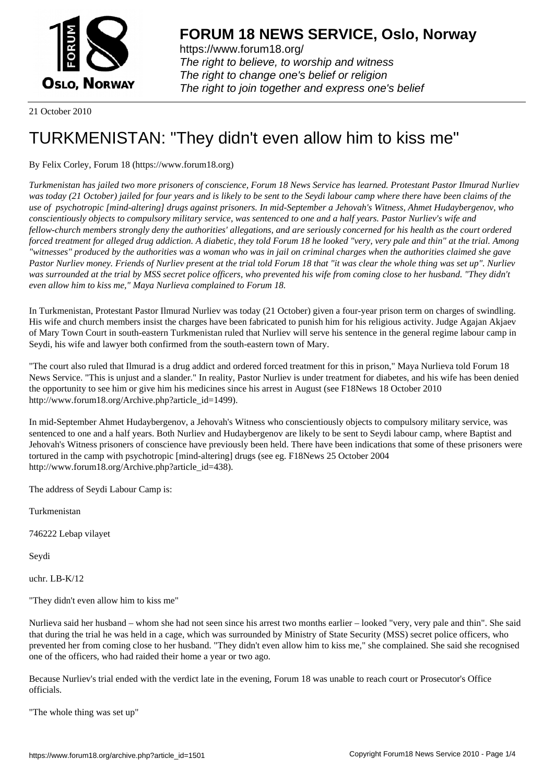

https://www.forum18.org/ The right to believe, to worship and witness The right to change one's belief or religion [The right to join together a](https://www.forum18.org/)nd express one's belief

21 October 2010

## [TURKMENISTA](https://www.forum18.org)N: "They didn't even allow him to kiss me"

## By Felix Corley, Forum 18 (https://www.forum18.org)

*Turkmenistan has jailed two more prisoners of conscience, Forum 18 News Service has learned. Protestant Pastor Ilmurad Nurliev was today (21 October) jailed for four years and is likely to be sent to the Seydi labour camp where there have been claims of the use of psychotropic [mind-altering] drugs against prisoners. In mid-September a Jehovah's Witness, Ahmet Hudaybergenov, who conscientiously objects to compulsory military service, was sentenced to one and a half years. Pastor Nurliev's wife and fellow-church members strongly deny the authorities' allegations, and are seriously concerned for his health as the court ordered forced treatment for alleged drug addiction. A diabetic, they told Forum 18 he looked "very, very pale and thin" at the trial. Among "witnesses" produced by the authorities was a woman who was in jail on criminal charges when the authorities claimed she gave Pastor Nurliev money. Friends of Nurliev present at the trial told Forum 18 that "it was clear the whole thing was set up". Nurliev was surrounded at the trial by MSS secret police officers, who prevented his wife from coming close to her husband. "They didn't even allow him to kiss me," Maya Nurlieva complained to Forum 18.*

In Turkmenistan, Protestant Pastor Ilmurad Nurliev was today (21 October) given a four-year prison term on charges of swindling. His wife and church members insist the charges have been fabricated to punish him for his religious activity. Judge Agajan Akjaev of Mary Town Court in south-eastern Turkmenistan ruled that Nurliev will serve his sentence in the general regime labour camp in Seydi, his wife and lawyer both confirmed from the south-eastern town of Mary.

"The court also ruled that Ilmurad is a drug addict and ordered forced treatment for this in prison," Maya Nurlieva told Forum 18 News Service. "This is unjust and a slander." In reality, Pastor Nurliev is under treatment for diabetes, and his wife has been denied the opportunity to see him or give him his medicines since his arrest in August (see F18News 18 October 2010 http://www.forum18.org/Archive.php?article\_id=1499).

In mid-September Ahmet Hudaybergenov, a Jehovah's Witness who conscientiously objects to compulsory military service, was sentenced to one and a half years. Both Nurliev and Hudaybergenov are likely to be sent to Seydi labour camp, where Baptist and Jehovah's Witness prisoners of conscience have previously been held. There have been indications that some of these prisoners were tortured in the camp with psychotropic [mind-altering] drugs (see eg. F18News 25 October 2004 http://www.forum18.org/Archive.php?article\_id=438).

The address of Seydi Labour Camp is:

Turkmenistan

746222 Lebap vilayet

Seydi

uchr. LB-K/12

"They didn't even allow him to kiss me"

Nurlieva said her husband – whom she had not seen since his arrest two months earlier – looked "very, very pale and thin". She said that during the trial he was held in a cage, which was surrounded by Ministry of State Security (MSS) secret police officers, who prevented her from coming close to her husband. "They didn't even allow him to kiss me," she complained. She said she recognised one of the officers, who had raided their home a year or two ago.

Because Nurliev's trial ended with the verdict late in the evening, Forum 18 was unable to reach court or Prosecutor's Office officials.

"The whole thing was set up"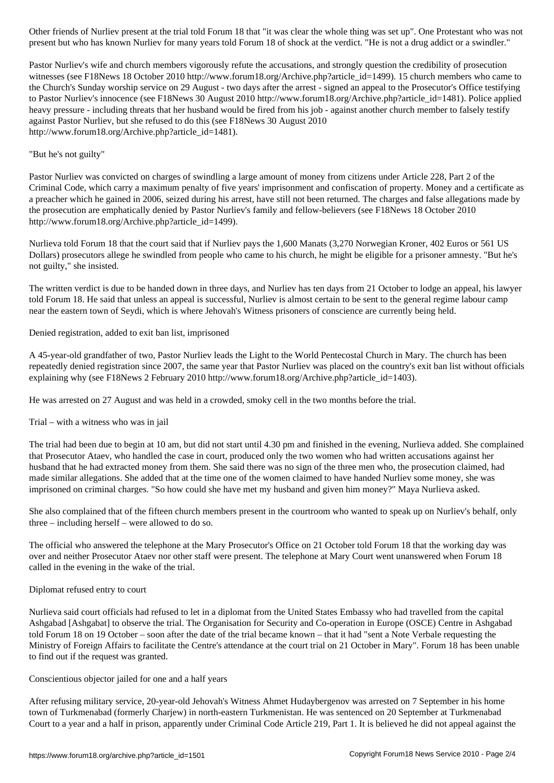Pastor Nurliev's wife and church members vigorously refute the accusations, and strongly question the credibility of prosecution witnesses (see F18News 18 October 2010 http://www.forum18.org/Archive.php?article\_id=1499). 15 church members who came to the Church's Sunday worship service on 29 August - two days after the arrest - signed an appeal to the Prosecutor's Office testifying to Pastor Nurliev's innocence (see F18News 30 August 2010 http://www.forum18.org/Archive.php?article\_id=1481). Police applied heavy pressure - including threats that her husband would be fired from his job - against another church member to falsely testify against Pastor Nurliev, but she refused to do this (see F18News 30 August 2010 http://www.forum18.org/Archive.php?article\_id=1481).

present but who has known Nurliev for many years told Forum 18 of shock at the verdict. "He is not a drug addict or a swindler."

## "But he's not guilty"

Pastor Nurliev was convicted on charges of swindling a large amount of money from citizens under Article 228, Part 2 of the Criminal Code, which carry a maximum penalty of five years' imprisonment and confiscation of property. Money and a certificate as a preacher which he gained in 2006, seized during his arrest, have still not been returned. The charges and false allegations made by the prosecution are emphatically denied by Pastor Nurliev's family and fellow-believers (see F18News 18 October 2010 http://www.forum18.org/Archive.php?article\_id=1499).

Nurlieva told Forum 18 that the court said that if Nurliev pays the 1,600 Manats (3,270 Norwegian Kroner, 402 Euros or 561 US Dollars) prosecutors allege he swindled from people who came to his church, he might be eligible for a prisoner amnesty. "But he's not guilty," she insisted.

The written verdict is due to be handed down in three days, and Nurliev has ten days from 21 October to lodge an appeal, his lawyer told Forum 18. He said that unless an appeal is successful, Nurliev is almost certain to be sent to the general regime labour camp near the eastern town of Seydi, which is where Jehovah's Witness prisoners of conscience are currently being held.

Denied registration, added to exit ban list, imprisoned

A 45-year-old grandfather of two, Pastor Nurliev leads the Light to the World Pentecostal Church in Mary. The church has been repeatedly denied registration since 2007, the same year that Pastor Nurliev was placed on the country's exit ban list without officials explaining why (see F18News 2 February 2010 http://www.forum18.org/Archive.php?article\_id=1403).

He was arrested on 27 August and was held in a crowded, smoky cell in the two months before the trial.

Trial – with a witness who was in jail

The trial had been due to begin at 10 am, but did not start until 4.30 pm and finished in the evening, Nurlieva added. She complained that Prosecutor Ataev, who handled the case in court, produced only the two women who had written accusations against her husband that he had extracted money from them. She said there was no sign of the three men who, the prosecution claimed, had made similar allegations. She added that at the time one of the women claimed to have handed Nurliev some money, she was imprisoned on criminal charges. "So how could she have met my husband and given him money?" Maya Nurlieva asked.

She also complained that of the fifteen church members present in the courtroom who wanted to speak up on Nurliev's behalf, only three – including herself – were allowed to do so.

The official who answered the telephone at the Mary Prosecutor's Office on 21 October told Forum 18 that the working day was over and neither Prosecutor Ataev nor other staff were present. The telephone at Mary Court went unanswered when Forum 18 called in the evening in the wake of the trial.

## Diplomat refused entry to court

Nurlieva said court officials had refused to let in a diplomat from the United States Embassy who had travelled from the capital Ashgabad [Ashgabat] to observe the trial. The Organisation for Security and Co-operation in Europe (OSCE) Centre in Ashgabad told Forum 18 on 19 October – soon after the date of the trial became known – that it had "sent a Note Verbale requesting the Ministry of Foreign Affairs to facilitate the Centre's attendance at the court trial on 21 October in Mary". Forum 18 has been unable to find out if the request was granted.

Conscientious objector jailed for one and a half years

After refusing military service, 20-year-old Jehovah's Witness Ahmet Hudaybergenov was arrested on 7 September in his home town of Turkmenabad (formerly Charjew) in north-eastern Turkmenistan. He was sentenced on 20 September at Turkmenabad Court to a year and a half in prison, apparently under Criminal Code Article 219, Part 1. It is believed he did not appeal against the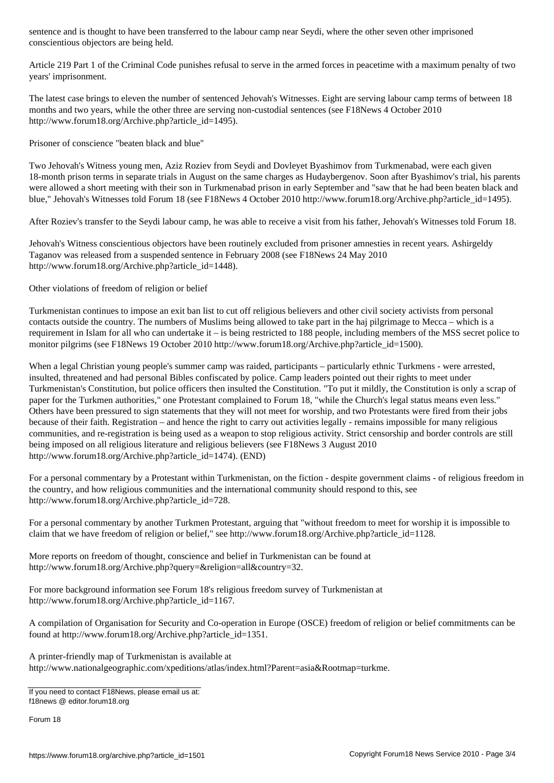conscientious objectors are being held.

Article 219 Part 1 of the Criminal Code punishes refusal to serve in the armed forces in peacetime with a maximum penalty of two years' imprisonment.

The latest case brings to eleven the number of sentenced Jehovah's Witnesses. Eight are serving labour camp terms of between 18 months and two years, while the other three are serving non-custodial sentences (see F18News 4 October 2010 http://www.forum18.org/Archive.php?article\_id=1495).

Prisoner of conscience "beaten black and blue"

Two Jehovah's Witness young men, Aziz Roziev from Seydi and Dovleyet Byashimov from Turkmenabad, were each given 18-month prison terms in separate trials in August on the same charges as Hudaybergenov. Soon after Byashimov's trial, his parents were allowed a short meeting with their son in Turkmenabad prison in early September and "saw that he had been beaten black and blue," Jehovah's Witnesses told Forum 18 (see F18News 4 October 2010 http://www.forum18.org/Archive.php?article\_id=1495).

After Roziev's transfer to the Seydi labour camp, he was able to receive a visit from his father, Jehovah's Witnesses told Forum 18.

Jehovah's Witness conscientious objectors have been routinely excluded from prisoner amnesties in recent years. Ashirgeldy Taganov was released from a suspended sentence in February 2008 (see F18News 24 May 2010 http://www.forum18.org/Archive.php?article\_id=1448).

Other violations of freedom of religion or belief

Turkmenistan continues to impose an exit ban list to cut off religious believers and other civil society activists from personal contacts outside the country. The numbers of Muslims being allowed to take part in the haj pilgrimage to Mecca – which is a requirement in Islam for all who can undertake it – is being restricted to 188 people, including members of the MSS secret police to monitor pilgrims (see F18News 19 October 2010 http://www.forum18.org/Archive.php?article\_id=1500).

When a legal Christian young people's summer camp was raided, participants – particularly ethnic Turkmens - were arrested, insulted, threatened and had personal Bibles confiscated by police. Camp leaders pointed out their rights to meet under Turkmenistan's Constitution, but police officers then insulted the Constitution. "To put it mildly, the Constitution is only a scrap of paper for the Turkmen authorities," one Protestant complained to Forum 18, "while the Church's legal status means even less." Others have been pressured to sign statements that they will not meet for worship, and two Protestants were fired from their jobs because of their faith. Registration – and hence the right to carry out activities legally - remains impossible for many religious communities, and re-registration is being used as a weapon to stop religious activity. Strict censorship and border controls are still being imposed on all religious literature and religious believers (see F18News 3 August 2010 http://www.forum18.org/Archive.php?article\_id=1474). (END)

For a personal commentary by a Protestant within Turkmenistan, on the fiction - despite government claims - of religious freedom in the country, and how religious communities and the international community should respond to this, see http://www.forum18.org/Archive.php?article\_id=728.

For a personal commentary by another Turkmen Protestant, arguing that "without freedom to meet for worship it is impossible to claim that we have freedom of religion or belief," see http://www.forum18.org/Archive.php?article\_id=1128.

More reports on freedom of thought, conscience and belief in Turkmenistan can be found at http://www.forum18.org/Archive.php?query=&religion=all&country=32.

For more background information see Forum 18's religious freedom survey of Turkmenistan at http://www.forum18.org/Archive.php?article\_id=1167.

A compilation of Organisation for Security and Co-operation in Europe (OSCE) freedom of religion or belief commitments can be found at http://www.forum18.org/Archive.php?article\_id=1351.

A printer-friendly map of Turkmenistan is available at http://www.nationalgeographic.com/xpeditions/atlas/index.html?Parent=asia&Rootmap=turkme.

If you need to contact F18News, please email us at: f18news @ editor.forum18.org

Forum 18